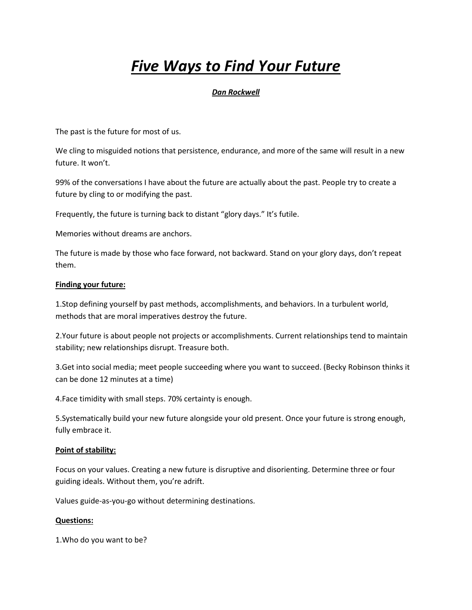# *Five Ways to Find Your Future*

# *Dan Rockwell*

The past is the future for most of us.

We cling to misguided notions that persistence, endurance, and more of the same will result in a new future. It won't.

99% of the conversations I have about the future are actually about the past. People try to create a future by cling to or modifying the past.

Frequently, the future is turning back to distant "glory days." It's futile.

Memories without dreams are anchors.

The future is made by those who face forward, not backward. Stand on your glory days, don't repeat them.

### **Finding your future:**

1.Stop defining yourself by past methods, accomplishments, and behaviors. In a turbulent world, methods that are moral imperatives destroy the future.

2.Your future is about people not projects or accomplishments. Current relationships tend to maintain stability; new relationships disrupt. Treasure both.

3.Get into social media; meet people succeeding where you want to succeed. (Becky Robinson thinks it can be done 12 minutes at a time)

4.Face timidity with small steps. 70% certainty is enough.

5.Systematically build your new future alongside your old present. Once your future is strong enough, fully embrace it.

### **Point of stability:**

Focus on your values. Creating a new future is disruptive and disorienting. Determine three or four guiding ideals. Without them, you're adrift.

Values guide-as-you-go without determining destinations.

### **Questions:**

1.Who do you want to be?